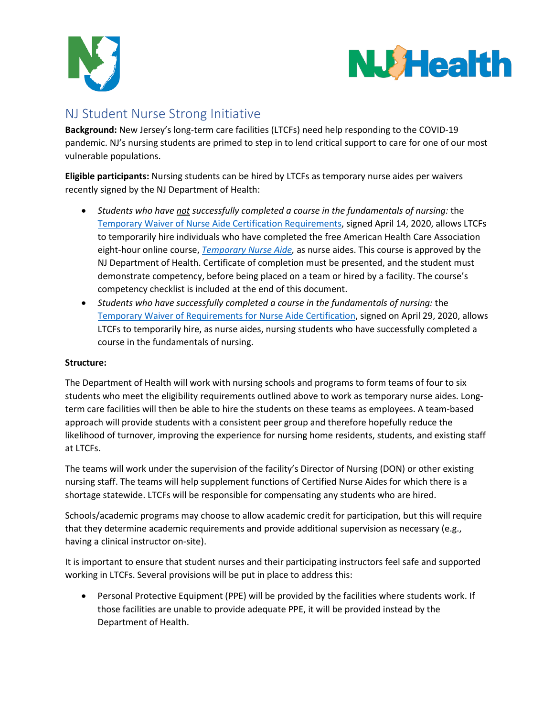



# NJ Student Nurse Strong Initiative

**Background:** New Jersey's long-term care facilities (LTCFs) need help responding to the COVID-19 pandemic. NJ's nursing students are primed to step in to lend critical support to care for one of our most vulnerable populations.

**Eligible participants:** Nursing students can be hired by LTCFs as temporary nurse aides per waivers recently signed by the NJ Department of Health:

- *Students who have not successfully completed a course in the fundamentals of nursing:* the [Temporary Waiver of Nurse Aide Certification Requirements,](https://www.nj.gov/health/legal/covid19/4-14-2020_NurseAideTempCert_Waiver.pdf) signed April 14, 2020, allows LTCFs to temporarily hire individuals who have completed the free American Health Care Association eight-hour online course, *[Temporary Nurse Aide,](https://educate.ahcancal.org/products/temporary-nurse-aide)* as nurse aides. This course is approved by the NJ Department of Health. Certificate of completion must be presented, and the student must demonstrate competency, before being placed on a team or hired by a facility. The course's competency checklist is included at the end of this document.
- *Students who have successfully completed a course in the fundamentals of nursing:* the [Temporary Waiver of Requirements for Nurse Aide Certification,](https://www.nj.gov/health/legal/covid19/4-29-20_WaiverRequirements_forNurseAideCertification.pdf) signed on April 29, 2020, allows LTCFs to temporarily hire, as nurse aides, nursing students who have successfully completed a course in the fundamentals of nursing.

### **Structure:**

The Department of Health will work with nursing schools and programs to form teams of four to six students who meet the eligibility requirements outlined above to work as temporary nurse aides. Longterm care facilities will then be able to hire the students on these teams as employees. A team-based approach will provide students with a consistent peer group and therefore hopefully reduce the likelihood of turnover, improving the experience for nursing home residents, students, and existing staff at LTCFs.

The teams will work under the supervision of the facility's Director of Nursing (DON) or other existing nursing staff. The teams will help supplement functions of Certified Nurse Aides for which there is a shortage statewide. LTCFs will be responsible for compensating any students who are hired.

Schools/academic programs may choose to allow academic credit for participation, but this will require that they determine academic requirements and provide additional supervision as necessary (e.g., having a clinical instructor on-site).

It is important to ensure that student nurses and their participating instructors feel safe and supported working in LTCFs. Several provisions will be put in place to address this:

• Personal Protective Equipment (PPE) will be provided by the facilities where students work. If those facilities are unable to provide adequate PPE, it will be provided instead by the Department of Health.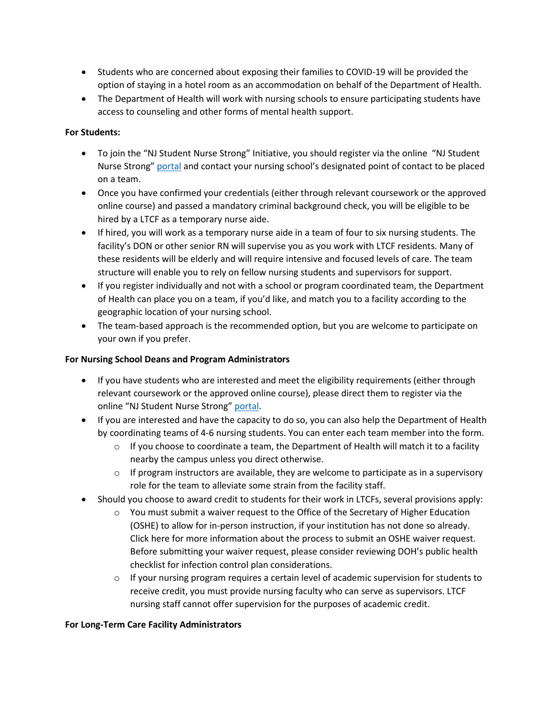- Students who are concerned about exposing their families to COVID-19 will be provided the option of staying in a hotel room as an accommodation on behalf of the Department of Health.
- The Department of Health will work with nursing schools to ensure participating students have access to counseling and other forms of mental health support.

#### **For Students:**

- To join the "NJ Student Nurse Strong" Initiative, you should register via the online "NJ Student Nurse Strong" [portal](https://form.jotform.com/201264344018143) and contact your nursing school's designated point of contact to be placed on a team.
- Once you have confirmed your credentials (either through relevant coursework or the approved online course) and passed a mandatory criminal background check, you will be eligible to be hired by a LTCF as a temporary nurse aide.
- If hired, you will work as a temporary nurse aide in a team of four to six nursing students. The facility's DON or other senior RN will supervise you as you work with LTCF residents. Many of these residents will be elderly and will require intensive and focused levels of care. The team structure will enable you to rely on fellow nursing students and supervisors for support.
- If you register individually and not with a school or program coordinated team, the Department of Health can place you on a team, if you'd like, and match you to a facility according to the geographic location of your nursing school.
- The team-based approach is the recommended option, but you are welcome to participate on your own if you prefer.

#### **For Nursing School Deans and Program Administrators**

- If you have students who are interested and meet the eligibility requirements (either through relevant coursework or the approved online course), please direct them to register via the online "NJ Student Nurse Strong" [portal](https://form.jotform.com/201264344018143).
- If you are interested and have the capacity to do so, you can also help the Department of Health by coordinating teams of 4-6 nursing students. You can enter each team member into the form.
	- $\circ$  If you choose to coordinate a team, the Department of Health will match it to a facility nearby the campus unless you direct otherwise.
	- $\circ$  If program instructors are available, they are welcome to participate as in a supervisory role for the team to alleviate some strain from the facility staff.
- Should you choose to award credit to students for their work in LTCFs, several provisions apply:
	- $\circ$  You must submit a waiver request to the Office of the Secretary of Higher Education (OSHE) to allow for in-person instruction, if your institution has not done so already. Click [here](https://nj.gov/highereducation/documents/pdf/index/OSHE_Waiver%20Process_3.17.20.pdf) for more information about the process to submit an OSHE waiver request. Before submitting your waiver request, please consider reviewing DOH's [public health](https://nj.gov/highereducation/PDFs/ChecklistOSHE0420.pdf)  [checklist](https://nj.gov/highereducation/PDFs/ChecklistOSHE0420.pdf) for infection control plan considerations.
	- $\circ$  If your nursing program requires a certain level of academic supervision for students to receive credit, you must provide nursing faculty who can serve as supervisors. LTCF nursing staff cannot offer supervision for the purposes of academic credit.

#### **For Long-Term Care Facility Administrators**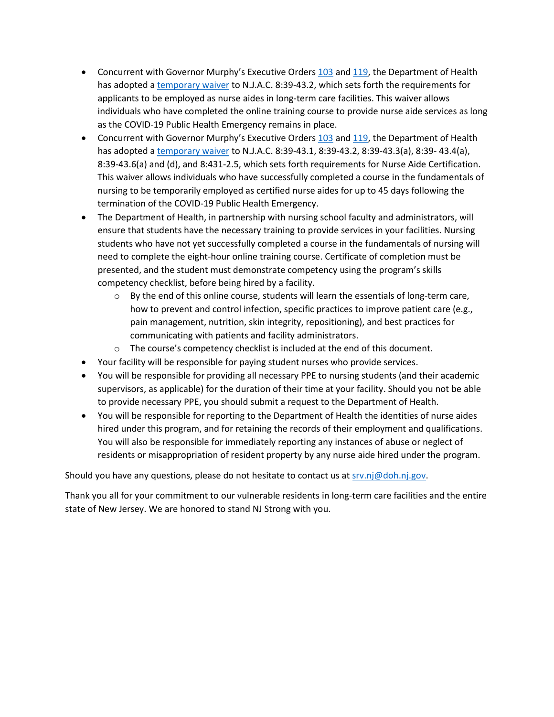- Concurrent with Governor Murphy's Executive Order[s 103](https://nj.gov/infobank/eo/056murphy/pdf/EO-103.pdf) and [119,](https://nj.gov/infobank/eo/056murphy/pdf/EO-119.pdf) the Department of Health has adopted [a temporary waiver](https://www.nj.gov/health/legal/covid19/4-14-2020_NurseAideTempCert_Waiver.pdf) to N.J.A.C. 8:39-43.2, which sets forth the requirements for applicants to be employed as nurse aides in long-term care facilities. This waiver allows individuals who have completed the online training course to provide nurse aide services as long as the COVID-19 Public Health Emergency remains in place.
- Concurrent with Governor Murphy's Executive Order[s 103](https://nj.gov/infobank/eo/056murphy/pdf/EO-103.pdf) and [119,](https://nj.gov/infobank/eo/056murphy/pdf/EO-119.pdf) the Department of Health has adopted [a temporary waiver](https://www.nj.gov/health/legal/covid19/4-29-20_WaiverRequirements_forNurseAideCertification.pdf) to N.J.A.C. 8:39-43.1, 8:39-43.2, 8:39-43.3(a), 8:39- 43.4(a), 8:39-43.6(a) and (d), and 8:431-2.5, which sets forth requirements for Nurse Aide Certification. This waiver allows individuals who have successfully completed a course in the fundamentals of nursing to be temporarily employed as certified nurse aides for up to 45 days following the termination of the COVID-19 Public Health Emergency.
- The Department of Health, in partnership with nursing school faculty and administrators, will ensure that students have the necessary training to provide services in your facilities. Nursing students who have not yet successfully completed a course in the fundamentals of nursing will need to complete the eight-hour online training course. Certificate of completion must be presented, and the student must demonstrate competency using the program's skills competency checklist, before being hired by a facility.
	- $\circ$  By the end of this online course, students will learn the essentials of long-term care, how to prevent and control infection, specific practices to improve patient care (e.g., pain management, nutrition, skin integrity, repositioning), and best practices for communicating with patients and facility administrators.
	- o The course's competency checklist is included at the end of this document.
- Your facility will be responsible for paying student nurses who provide services.
- You will be responsible for providing all necessary PPE to nursing students (and their academic supervisors, as applicable) for the duration of their time at your facility. Should you not be able to provide necessary PPE, you should submit a request to the Department of Health.
- You will be responsible for reporting to the Department of Health the identities of nurse aides hired under this program, and for retaining the records of their employment and qualifications. You will also be responsible for immediately reporting any instances of abuse or neglect of residents or misappropriation of resident property by any nurse aide hired under the program.

Should you have any questions, please do not hesitate to contact us at [srv.nj@doh.nj.gov.](mailto:srv.nj@doh.nj.gov)

Thank you all for your commitment to our vulnerable residents in long-term care facilities and the entire state of New Jersey. We are honored to stand NJ Strong with you.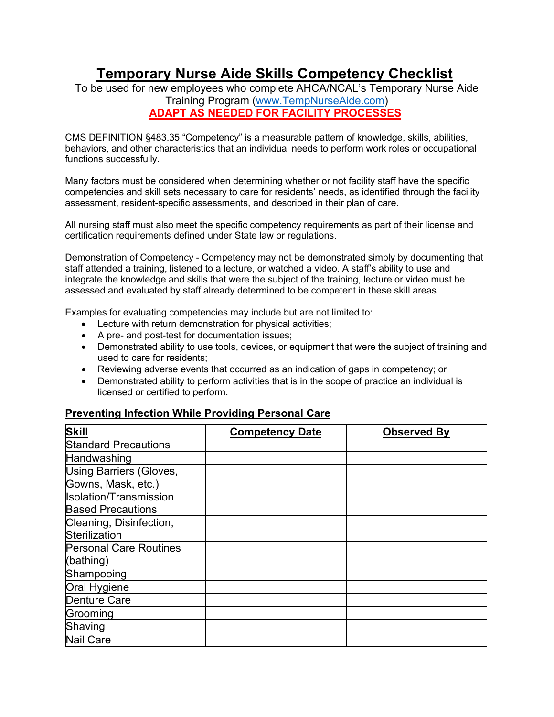# **Temporary Nurse Aide Skills Competency Checklist**

To be used for new employees who complete AHCA/NCAL's Temporary Nurse Aide Training Program [\(www.TempNurseAide.com\)](http://www.tempnurseaide.com/) **ADAPT AS NEEDED FOR FACILITY PROCESSES**

CMS DEFINITION §483.35 "Competency" is a measurable pattern of knowledge, skills, abilities, behaviors, and other characteristics that an individual needs to perform work roles or occupational functions successfully.

Many factors must be considered when determining whether or not facility staff have the specific competencies and skill sets necessary to care for residents' needs, as identified through the facility assessment, resident-specific assessments, and described in their plan of care.

All nursing staff must also meet the specific competency requirements as part of their license and certification requirements defined under State law or regulations.

Demonstration of Competency - Competency may not be demonstrated simply by documenting that staff attended a training, listened to a lecture, or watched a video. A staff's ability to use and integrate the knowledge and skills that were the subject of the training, lecture or video must be assessed and evaluated by staff already determined to be competent in these skill areas.

Examples for evaluating competencies may include but are not limited to:

- Lecture with return demonstration for physical activities;
- A pre- and post-test for documentation issues;
- Demonstrated ability to use tools, devices, or equipment that were the subject of training and used to care for residents;
- Reviewing adverse events that occurred as an indication of gaps in competency; or
- Demonstrated ability to perform activities that is in the scope of practice an individual is licensed or certified to perform.

| <b>Skill</b>                  | <b>Competency Date</b> | <b>Observed By</b> |
|-------------------------------|------------------------|--------------------|
| <b>Standard Precautions</b>   |                        |                    |
| Handwashing                   |                        |                    |
| Using Barriers (Gloves,       |                        |                    |
| Gowns, Mask, etc.)            |                        |                    |
| <b>Isolation/Transmission</b> |                        |                    |
| <b>Based Precautions</b>      |                        |                    |
| Cleaning, Disinfection,       |                        |                    |
| Sterilization                 |                        |                    |
| <b>Personal Care Routines</b> |                        |                    |
| (bathing)                     |                        |                    |
| Shampooing                    |                        |                    |
| Oral Hygiene                  |                        |                    |
| <b>Denture Care</b>           |                        |                    |
| Grooming                      |                        |                    |
| Shaving                       |                        |                    |
| <b>Nail Care</b>              |                        |                    |

### **Preventing Infection While Providing Personal Care**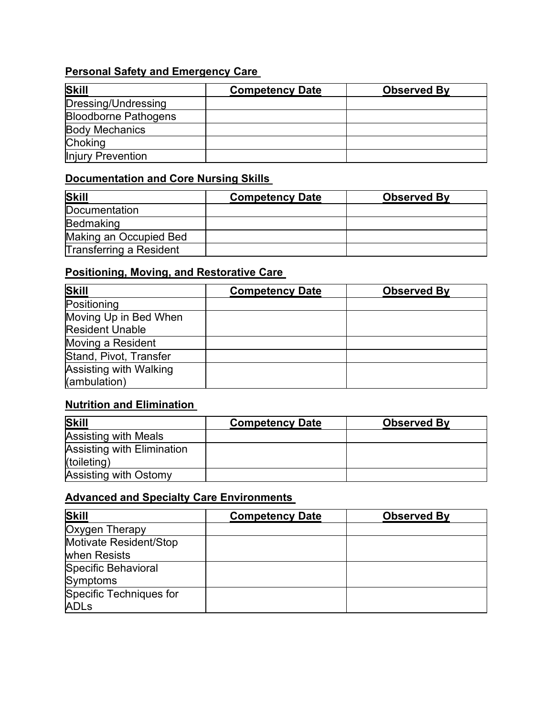## **Personal Safety and Emergency Care**

| <b>Skill</b>                | <b>Competency Date</b> | <b>Observed By</b> |
|-----------------------------|------------------------|--------------------|
| Dressing/Undressing         |                        |                    |
| <b>Bloodborne Pathogens</b> |                        |                    |
| <b>Body Mechanics</b>       |                        |                    |
| <b>Choking</b>              |                        |                    |
| Injury Prevention           |                        |                    |

### **Documentation and Core Nursing Skills**

| <b>Skill</b>            | <b>Competency Date</b> | <b>Observed By</b> |
|-------------------------|------------------------|--------------------|
| Documentation           |                        |                    |
| Bedmaking               |                        |                    |
| Making an Occupied Bed  |                        |                    |
| Transferring a Resident |                        |                    |

## **Positioning, Moving, and Restorative Care**

| Skill                         | <b>Competency Date</b> | <b>Observed By</b> |
|-------------------------------|------------------------|--------------------|
| Positioning                   |                        |                    |
| Moving Up in Bed When         |                        |                    |
| <b>Resident Unable</b>        |                        |                    |
| Moving a Resident             |                        |                    |
| Stand, Pivot, Transfer        |                        |                    |
| <b>Assisting with Walking</b> |                        |                    |
| (ambulation)                  |                        |                    |

### **Nutrition and Elimination**

| <b>Skill</b>                      | <b>Competency Date</b> | <b>Observed By</b> |
|-----------------------------------|------------------------|--------------------|
| <b>Assisting with Meals</b>       |                        |                    |
| <b>Assisting with Elimination</b> |                        |                    |
| (toileting)                       |                        |                    |
| Assisting with Ostomy             |                        |                    |

### **Advanced and Specialty Care Environments**

| <b>Skill</b>            | <b>Competency Date</b> | <b>Observed By</b> |
|-------------------------|------------------------|--------------------|
| Oxygen Therapy          |                        |                    |
| Motivate Resident/Stop  |                        |                    |
| when Resists            |                        |                    |
| Specific Behavioral     |                        |                    |
| Symptoms                |                        |                    |
| Specific Techniques for |                        |                    |
| <b>ADLs</b>             |                        |                    |